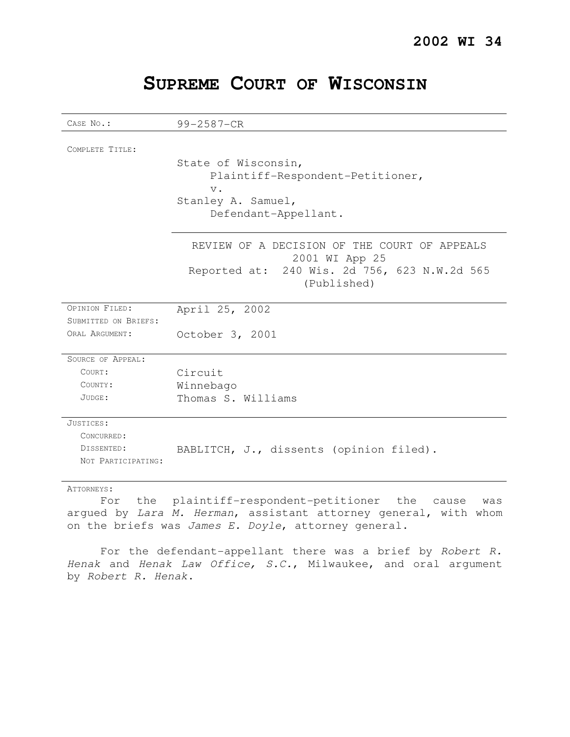| SUPREME COURT OF WISCONSIN |  |  |
|----------------------------|--|--|
|----------------------------|--|--|

| CASE No.:            | 99-2587-CR                                                     |
|----------------------|----------------------------------------------------------------|
|                      |                                                                |
| COMPLETE TITLE:      |                                                                |
|                      | State of Wisconsin,                                            |
|                      | Plaintiff-Respondent-Petitioner,                               |
|                      | $V$ .                                                          |
|                      | Stanley A. Samuel,                                             |
|                      | Defendant-Appellant.                                           |
|                      |                                                                |
|                      | REVIEW OF A DECISION OF THE COURT OF APPEALS<br>2001 WI App 25 |
|                      | Reported at: 240 Wis. 2d 756, 623 N.W.2d 565                   |
|                      | (Published)                                                    |
|                      |                                                                |
| OPINION FILED:       | April 25, 2002                                                 |
| SUBMITTED ON BRIEFS: |                                                                |
| ORAL ARGUMENT:       | October 3, 2001                                                |
| SOURCE OF APPEAL:    |                                                                |
| COURT:               | Circuit                                                        |
|                      |                                                                |
| COUNTY:              | Winnebago                                                      |
| JUDGE:               | Thomas S. Williams                                             |
| JUSTICES:            |                                                                |
| CONCURRED:           |                                                                |
| DISSENTED:           | BABLITCH, J., dissents (opinion filed).                        |
| NOT PARTICIPATING:   |                                                                |
| ATTORNEYS:           |                                                                |

For the plaintiff-respondent-petitioner the cause was argued by Lara M. Herman, assistant attorney general, with whom on the briefs was James E. Doyle, attorney general.

For the defendant-appellant there was a brief by Robert R. Henak and Henak Law Office, S.C., Milwaukee, and oral argument by Robert R. Henak.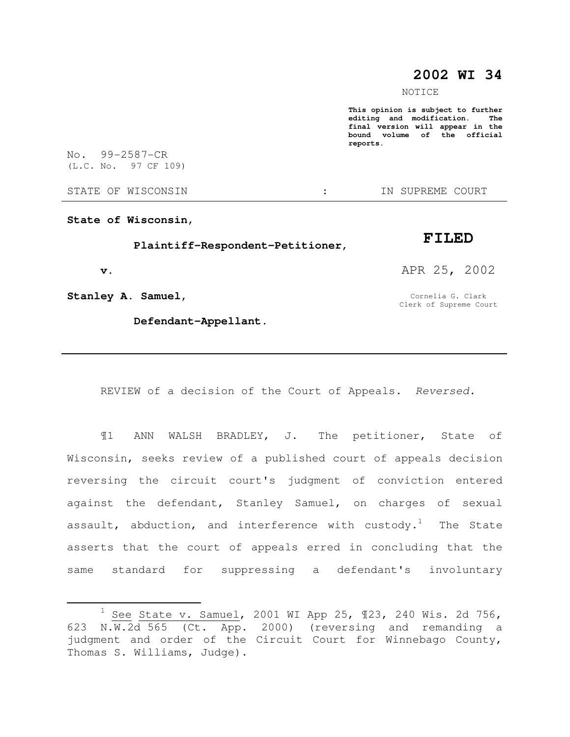## **2002 WI 34**

NOTICE

**This opinion is subject to further editing and modification. The final version will appear in the bound volume of the official reports.** 

No. 99-2587-CR (L.C. No. 97 CF 109)

STATE OF WISCONSIN THE STATE OF WISCONSIN THE STATE OF STATE OF STATE OF STATE OF STATE OF STATE OF STATE OF STATE OF STATE OF STATE OF STATE OF STATE OF STATE OF STATE OF STATE OF STATE OF STATE OF STATE OF STATE OF STATE

**State of Wisconsin,** 

 **Plaintiff-Respondent-Petitioner,** 

 **v.** 

 $\overline{a}$ 

**Stanley A. Samuel,** 

 **Defendant-Appellant.** 

**FILED** 

APR 25, 2002

Cornelia G. Clark Clerk of Supreme Court

REVIEW of a decision of the Court of Appeals. Reversed.

¶1 ANN WALSH BRADLEY, J. The petitioner, State of Wisconsin, seeks review of a published court of appeals decision reversing the circuit court's judgment of conviction entered against the defendant, Stanley Samuel, on charges of sexual assault, abduction, and interference with custody.<sup>1</sup> The State asserts that the court of appeals erred in concluding that the same standard for suppressing a defendant's involuntary

 $1$  See State v. Samuel, 2001 WI App 25, 123, 240 Wis. 2d 756, 623 N.W.2d 565 (Ct. App. 2000) (reversing and remanding a judgment and order of the Circuit Court for Winnebago County, Thomas S. Williams, Judge).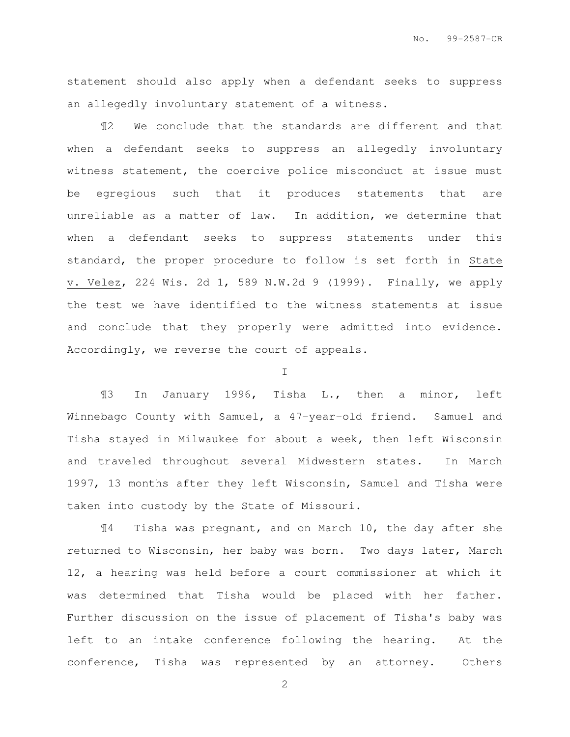statement should also apply when a defendant seeks to suppress an allegedly involuntary statement of a witness.

¶2 We conclude that the standards are different and that when a defendant seeks to suppress an allegedly involuntary witness statement, the coercive police misconduct at issue must be egregious such that it produces statements that are unreliable as a matter of law. In addition, we determine that when a defendant seeks to suppress statements under this standard, the proper procedure to follow is set forth in State v. Velez, 224 Wis. 2d 1, 589 N.W.2d 9 (1999). Finally, we apply the test we have identified to the witness statements at issue and conclude that they properly were admitted into evidence. Accordingly, we reverse the court of appeals.

I

¶3 In January 1996, Tisha L., then a minor, left Winnebago County with Samuel, a 47-year-old friend. Samuel and Tisha stayed in Milwaukee for about a week, then left Wisconsin and traveled throughout several Midwestern states. In March 1997, 13 months after they left Wisconsin, Samuel and Tisha were taken into custody by the State of Missouri.

¶4 Tisha was pregnant, and on March 10, the day after she returned to Wisconsin, her baby was born. Two days later, March 12, a hearing was held before a court commissioner at which it was determined that Tisha would be placed with her father. Further discussion on the issue of placement of Tisha's baby was left to an intake conference following the hearing. At the conference, Tisha was represented by an attorney. Others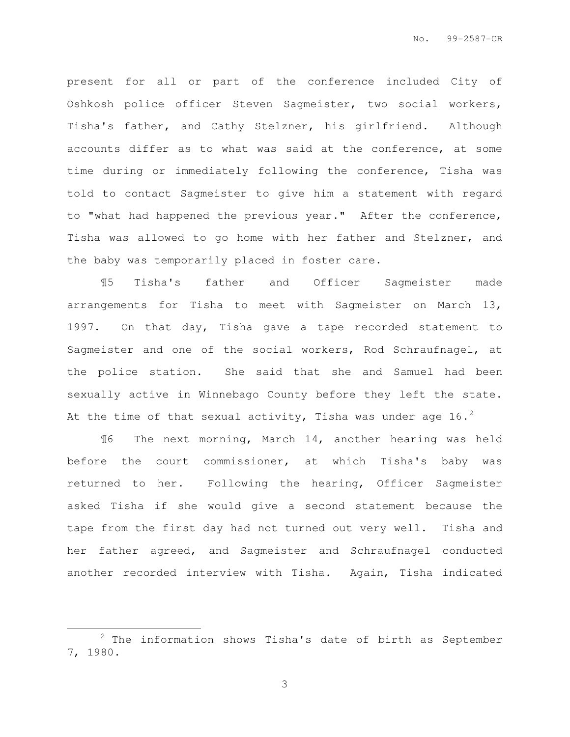present for all or part of the conference included City of Oshkosh police officer Steven Sagmeister, two social workers, Tisha's father, and Cathy Stelzner, his girlfriend. Although accounts differ as to what was said at the conference, at some time during or immediately following the conference, Tisha was told to contact Sagmeister to give him a statement with regard to "what had happened the previous year." After the conference, Tisha was allowed to go home with her father and Stelzner, and the baby was temporarily placed in foster care.

¶5 Tisha's father and Officer Sagmeister made arrangements for Tisha to meet with Sagmeister on March 13, 1997. On that day, Tisha gave a tape recorded statement to Sagmeister and one of the social workers, Rod Schraufnagel, at the police station. She said that she and Samuel had been sexually active in Winnebago County before they left the state. At the time of that sexual activity, Tisha was under age 16.<sup>2</sup>

¶6 The next morning, March 14, another hearing was held before the court commissioner, at which Tisha's baby was returned to her. Following the hearing, Officer Sagmeister asked Tisha if she would give a second statement because the tape from the first day had not turned out very well. Tisha and her father agreed, and Sagmeister and Schraufnagel conducted another recorded interview with Tisha. Again, Tisha indicated

l.

 $2$  The information shows Tisha's date of birth as September 7, 1980.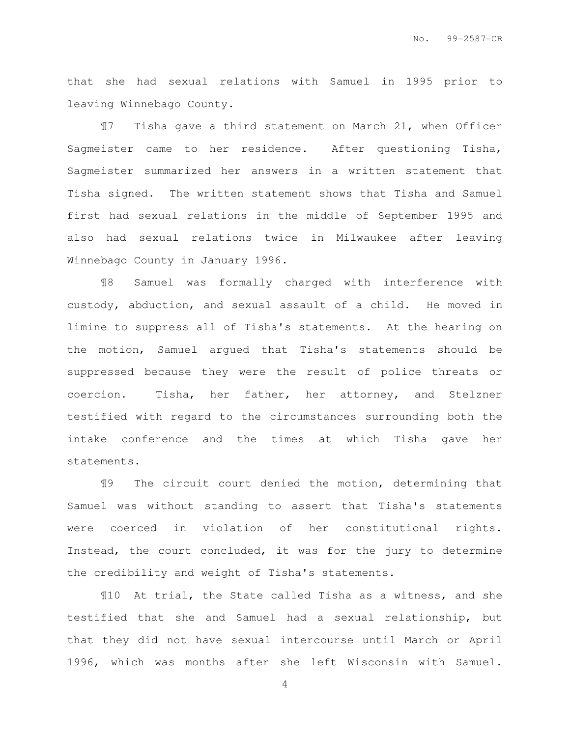that she had sexual relations with Samuel in 1995 prior to leaving Winnebago County.

¶7 Tisha gave a third statement on March 21, when Officer Sagmeister came to her residence. After questioning Tisha, Sagmeister summarized her answers in a written statement that Tisha signed. The written statement shows that Tisha and Samuel first had sexual relations in the middle of September 1995 and also had sexual relations twice in Milwaukee after leaving Winnebago County in January 1996.

¶8 Samuel was formally charged with interference with custody, abduction, and sexual assault of a child. He moved in limine to suppress all of Tisha's statements. At the hearing on the motion, Samuel argued that Tisha's statements should be suppressed because they were the result of police threats or coercion. Tisha, her father, her attorney, and Stelzner testified with regard to the circumstances surrounding both the intake conference and the times at which Tisha gave her statements.

¶9 The circuit court denied the motion, determining that Samuel was without standing to assert that Tisha's statements were coerced in violation of her constitutional rights. Instead, the court concluded, it was for the jury to determine the credibility and weight of Tisha's statements.

¶10 At trial, the State called Tisha as a witness, and she testified that she and Samuel had a sexual relationship, but that they did not have sexual intercourse until March or April 1996, which was months after she left Wisconsin with Samuel.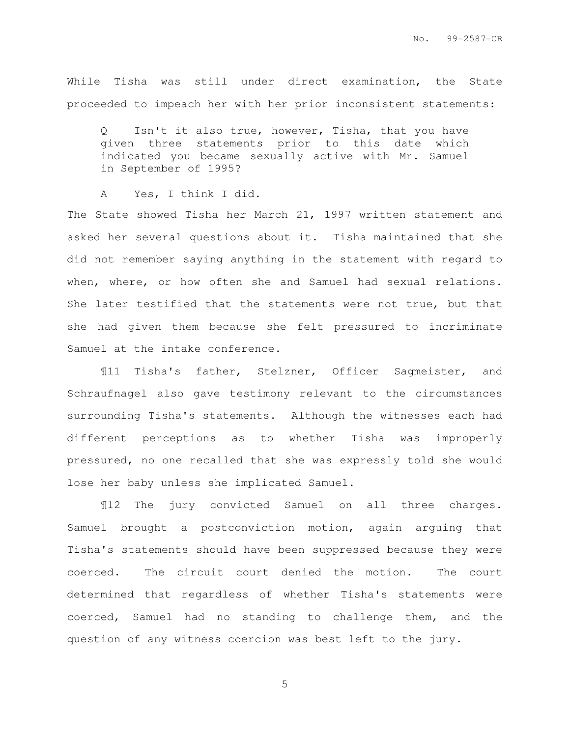While Tisha was still under direct examination, the State proceeded to impeach her with her prior inconsistent statements:

Q Isn't it also true, however, Tisha, that you have given three statements prior to this date which indicated you became sexually active with Mr. Samuel in September of 1995?

A Yes, I think I did.

The State showed Tisha her March 21, 1997 written statement and asked her several questions about it. Tisha maintained that she did not remember saying anything in the statement with regard to when, where, or how often she and Samuel had sexual relations. She later testified that the statements were not true, but that she had given them because she felt pressured to incriminate Samuel at the intake conference.

¶11 Tisha's father, Stelzner, Officer Sagmeister, and Schraufnagel also gave testimony relevant to the circumstances surrounding Tisha's statements. Although the witnesses each had different perceptions as to whether Tisha was improperly pressured, no one recalled that she was expressly told she would lose her baby unless she implicated Samuel.

¶12 The jury convicted Samuel on all three charges. Samuel brought a postconviction motion, again arguing that Tisha's statements should have been suppressed because they were coerced. The circuit court denied the motion. The court determined that regardless of whether Tisha's statements were coerced, Samuel had no standing to challenge them, and the question of any witness coercion was best left to the jury.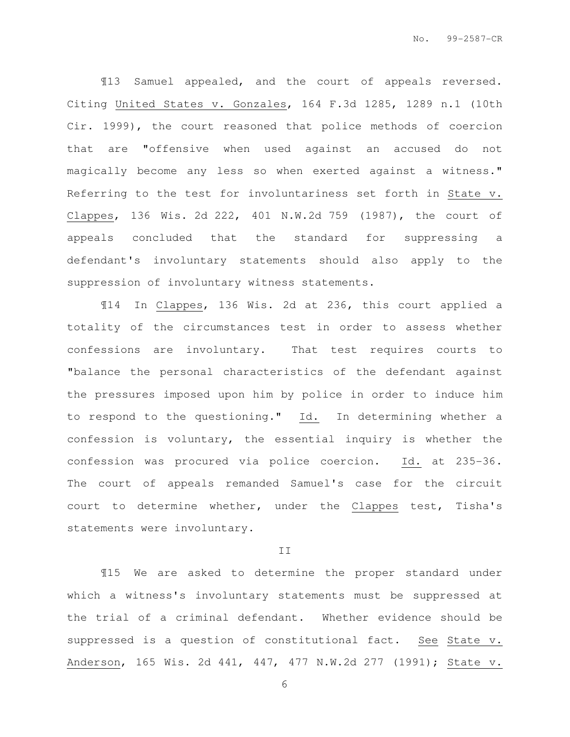¶13 Samuel appealed, and the court of appeals reversed. Citing United States v. Gonzales, 164 F.3d 1285, 1289 n.1 (10th Cir. 1999), the court reasoned that police methods of coercion that are "offensive when used against an accused do not magically become any less so when exerted against a witness." Referring to the test for involuntariness set forth in State v. Clappes, 136 Wis. 2d 222, 401 N.W.2d 759 (1987), the court of appeals concluded that the standard for suppressing a defendant's involuntary statements should also apply to the suppression of involuntary witness statements.

¶14 In Clappes, 136 Wis. 2d at 236, this court applied a totality of the circumstances test in order to assess whether confessions are involuntary. That test requires courts to "balance the personal characteristics of the defendant against the pressures imposed upon him by police in order to induce him to respond to the questioning." Id. In determining whether a confession is voluntary, the essential inquiry is whether the confession was procured via police coercion. Id. at 235-36. The court of appeals remanded Samuel's case for the circuit court to determine whether, under the Clappes test, Tisha's statements were involuntary.

## II

¶15 We are asked to determine the proper standard under which a witness's involuntary statements must be suppressed at the trial of a criminal defendant. Whether evidence should be suppressed is a question of constitutional fact. See State v. Anderson, 165 Wis. 2d 441, 447, 477 N.W.2d 277 (1991); State v.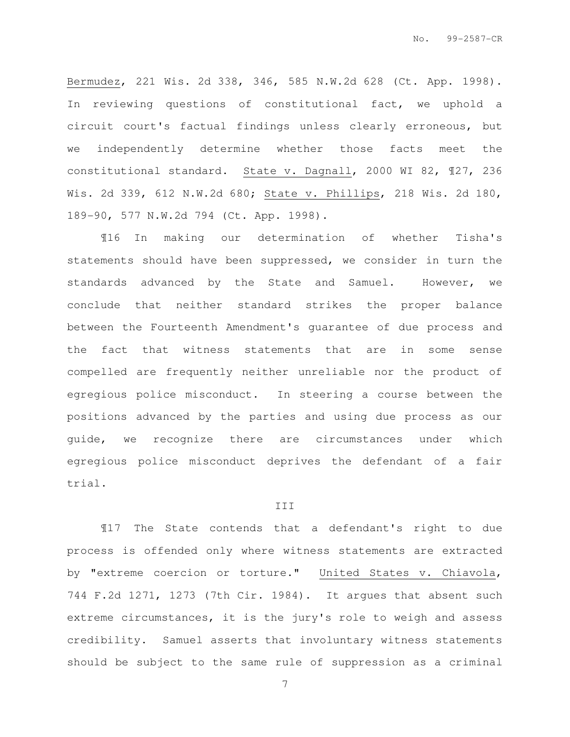Bermudez, 221 Wis. 2d 338, 346, 585 N.W.2d 628 (Ct. App. 1998). In reviewing questions of constitutional fact, we uphold a circuit court's factual findings unless clearly erroneous, but we independently determine whether those facts meet the constitutional standard. State v. Dagnall, 2000 WI 82, ¶27, 236 Wis. 2d 339, 612 N.W.2d 680; State v. Phillips, 218 Wis. 2d 180, 189-90, 577 N.W.2d 794 (Ct. App. 1998).

¶16 In making our determination of whether Tisha's statements should have been suppressed, we consider in turn the standards advanced by the State and Samuel. However, we conclude that neither standard strikes the proper balance between the Fourteenth Amendment's guarantee of due process and the fact that witness statements that are in some sense compelled are frequently neither unreliable nor the product of egregious police misconduct. In steering a course between the positions advanced by the parties and using due process as our guide, we recognize there are circumstances under which egregious police misconduct deprives the defendant of a fair trial.

## III

¶17 The State contends that a defendant's right to due process is offended only where witness statements are extracted by "extreme coercion or torture." United States v. Chiavola, 744 F.2d 1271, 1273 (7th Cir. 1984). It argues that absent such extreme circumstances, it is the jury's role to weigh and assess credibility. Samuel asserts that involuntary witness statements should be subject to the same rule of suppression as a criminal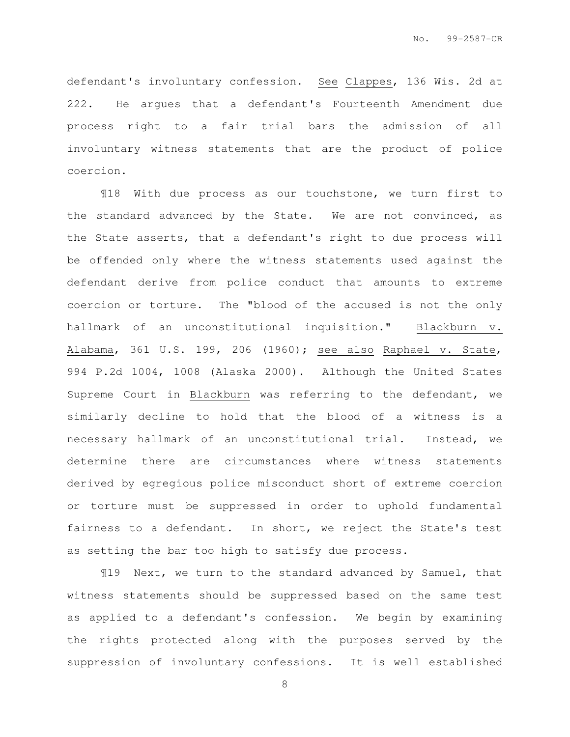defendant's involuntary confession. See Clappes, 136 Wis. 2d at 222. He argues that a defendant's Fourteenth Amendment due process right to a fair trial bars the admission of all involuntary witness statements that are the product of police coercion.

¶18 With due process as our touchstone, we turn first to the standard advanced by the State. We are not convinced, as the State asserts, that a defendant's right to due process will be offended only where the witness statements used against the defendant derive from police conduct that amounts to extreme coercion or torture. The "blood of the accused is not the only hallmark of an unconstitutional inquisition." Blackburn v. Alabama, 361 U.S. 199, 206 (1960); see also Raphael v. State, 994 P.2d 1004, 1008 (Alaska 2000). Although the United States Supreme Court in Blackburn was referring to the defendant, we similarly decline to hold that the blood of a witness is a necessary hallmark of an unconstitutional trial. Instead, we determine there are circumstances where witness statements derived by egregious police misconduct short of extreme coercion or torture must be suppressed in order to uphold fundamental fairness to a defendant. In short, we reject the State's test as setting the bar too high to satisfy due process.

¶19 Next, we turn to the standard advanced by Samuel, that witness statements should be suppressed based on the same test as applied to a defendant's confession. We begin by examining the rights protected along with the purposes served by the suppression of involuntary confessions. It is well established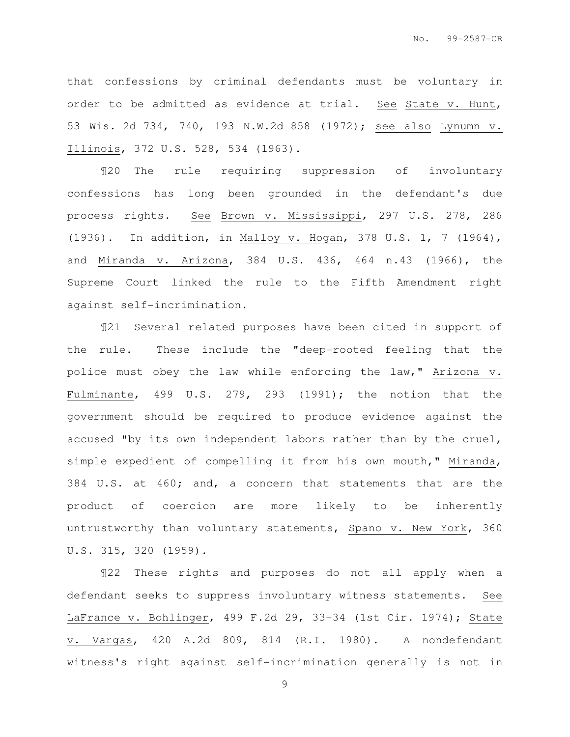that confessions by criminal defendants must be voluntary in order to be admitted as evidence at trial. See State v. Hunt, 53 Wis. 2d 734, 740, 193 N.W.2d 858 (1972); see also Lynumn v. Illinois, 372 U.S. 528, 534 (1963).

¶20 The rule requiring suppression of involuntary confessions has long been grounded in the defendant's due process rights. See Brown v. Mississippi, 297 U.S. 278, 286 (1936). In addition, in Malloy v. Hogan, 378 U.S. 1, 7 (1964), and Miranda v. Arizona, 384 U.S. 436, 464 n.43 (1966), the Supreme Court linked the rule to the Fifth Amendment right against self-incrimination.

¶21 Several related purposes have been cited in support of the rule. These include the "deep-rooted feeling that the police must obey the law while enforcing the law," Arizona v. Fulminante, 499 U.S. 279, 293 (1991); the notion that the government should be required to produce evidence against the accused "by its own independent labors rather than by the cruel, simple expedient of compelling it from his own mouth," Miranda, 384 U.S. at 460; and, a concern that statements that are the product of coercion are more likely to be inherently untrustworthy than voluntary statements, Spano v. New York, 360 U.S. 315, 320 (1959).

¶22 These rights and purposes do not all apply when a defendant seeks to suppress involuntary witness statements. See LaFrance v. Bohlinger, 499 F.2d 29, 33-34 (1st Cir. 1974); State v. Vargas, 420 A.2d 809, 814 (R.I. 1980). A nondefendant witness's right against self-incrimination generally is not in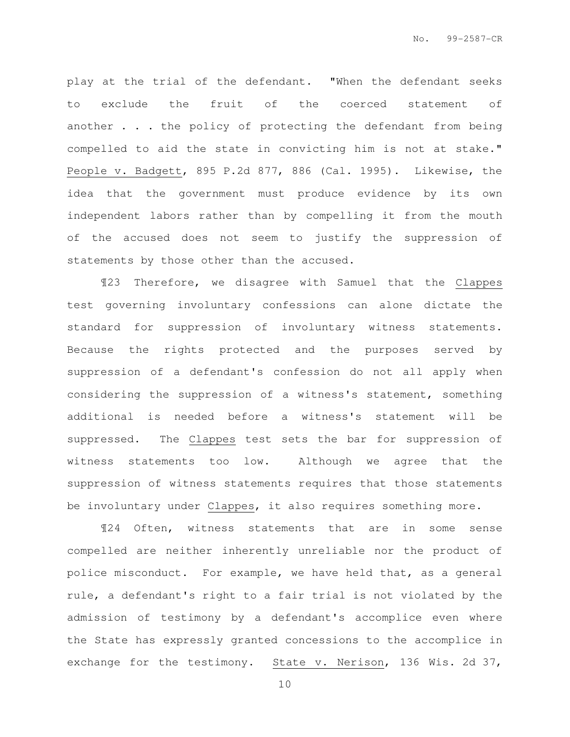play at the trial of the defendant. "When the defendant seeks to exclude the fruit of the coerced statement of another . . . the policy of protecting the defendant from being compelled to aid the state in convicting him is not at stake." People v. Badgett, 895 P.2d 877, 886 (Cal. 1995). Likewise, the idea that the government must produce evidence by its own independent labors rather than by compelling it from the mouth of the accused does not seem to justify the suppression of statements by those other than the accused.

¶23 Therefore, we disagree with Samuel that the Clappes test governing involuntary confessions can alone dictate the standard for suppression of involuntary witness statements. Because the rights protected and the purposes served by suppression of a defendant's confession do not all apply when considering the suppression of a witness's statement, something additional is needed before a witness's statement will be suppressed. The Clappes test sets the bar for suppression of witness statements too low. Although we agree that the suppression of witness statements requires that those statements be involuntary under Clappes, it also requires something more.

¶24 Often, witness statements that are in some sense compelled are neither inherently unreliable nor the product of police misconduct. For example, we have held that, as a general rule, a defendant's right to a fair trial is not violated by the admission of testimony by a defendant's accomplice even where the State has expressly granted concessions to the accomplice in exchange for the testimony. State v. Nerison, 136 Wis. 2d 37,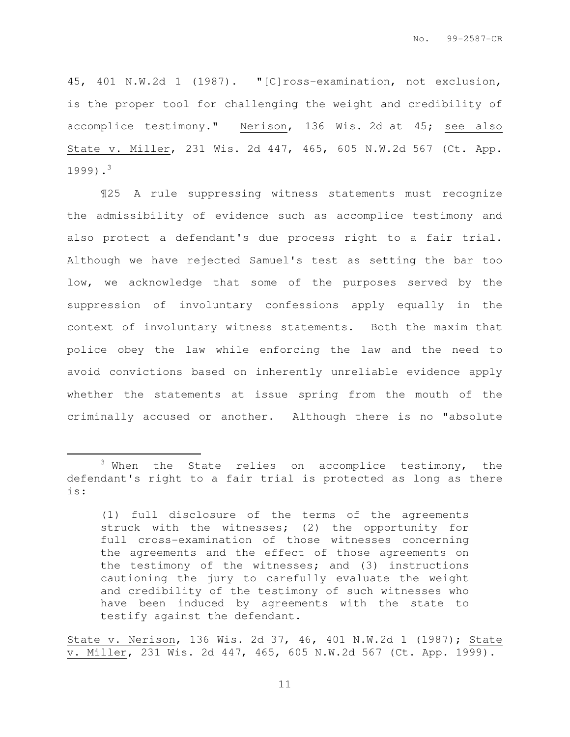45, 401 N.W.2d 1 (1987). "[C]ross-examination, not exclusion, is the proper tool for challenging the weight and credibility of accomplice testimony." Nerison, 136 Wis. 2d at 45; see also State v. Miller, 231 Wis. 2d 447, 465, 605 N.W.2d 567 (Ct. App.  $1999$ ).<sup>3</sup>

¶25 A rule suppressing witness statements must recognize the admissibility of evidence such as accomplice testimony and also protect a defendant's due process right to a fair trial. Although we have rejected Samuel's test as setting the bar too low, we acknowledge that some of the purposes served by the suppression of involuntary confessions apply equally in the context of involuntary witness statements. Both the maxim that police obey the law while enforcing the law and the need to avoid convictions based on inherently unreliable evidence apply whether the statements at issue spring from the mouth of the criminally accused or another. Although there is no "absolute

l.

State v. Nerison, 136 Wis. 2d 37, 46, 401 N.W.2d 1 (1987); State v. Miller, 231 Wis. 2d 447, 465, 605 N.W.2d 567 (Ct. App. 1999).

<sup>&</sup>lt;sup>3</sup> When the State relies on accomplice testimony, the defendant's right to a fair trial is protected as long as there is:

<sup>(1)</sup> full disclosure of the terms of the agreements struck with the witnesses; (2) the opportunity for full cross-examination of those witnesses concerning the agreements and the effect of those agreements on the testimony of the witnesses; and (3) instructions cautioning the jury to carefully evaluate the weight and credibility of the testimony of such witnesses who have been induced by agreements with the state to testify against the defendant.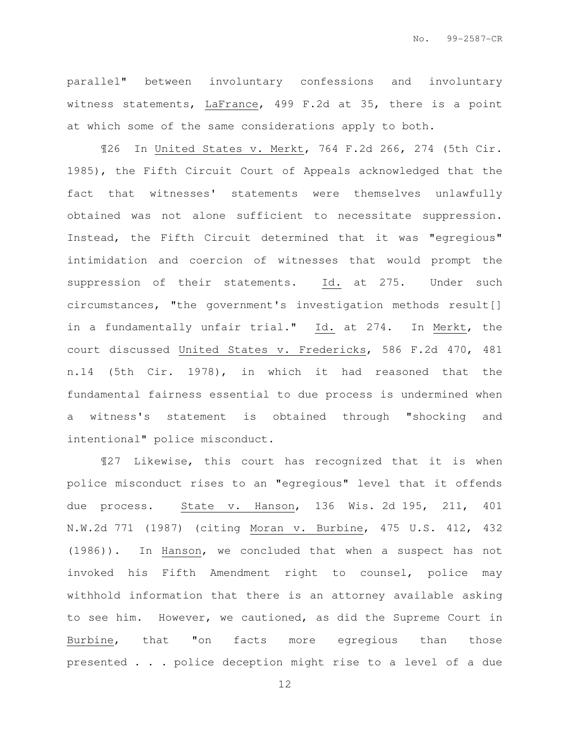parallel" between involuntary confessions and involuntary witness statements, LaFrance, 499 F.2d at 35, there is a point at which some of the same considerations apply to both.

¶26 In United States v. Merkt, 764 F.2d 266, 274 (5th Cir. 1985), the Fifth Circuit Court of Appeals acknowledged that the fact that witnesses' statements were themselves unlawfully obtained was not alone sufficient to necessitate suppression. Instead, the Fifth Circuit determined that it was "egregious" intimidation and coercion of witnesses that would prompt the suppression of their statements. Id. at 275. Under such circumstances, "the government's investigation methods result[] in a fundamentally unfair trial." Id. at 274. In Merkt, the court discussed United States v. Fredericks, 586 F.2d 470, 481 n.14 (5th Cir. 1978), in which it had reasoned that the fundamental fairness essential to due process is undermined when a witness's statement is obtained through "shocking and intentional" police misconduct.

¶27 Likewise, this court has recognized that it is when police misconduct rises to an "egregious" level that it offends due process. State v. Hanson, 136 Wis. 2d 195, 211, 401 N.W.2d 771 (1987) (citing Moran v. Burbine, 475 U.S. 412, 432 (1986)). In Hanson, we concluded that when a suspect has not invoked his Fifth Amendment right to counsel, police may withhold information that there is an attorney available asking to see him. However, we cautioned, as did the Supreme Court in Burbine, that "on facts more egregious than those presented . . . police deception might rise to a level of a due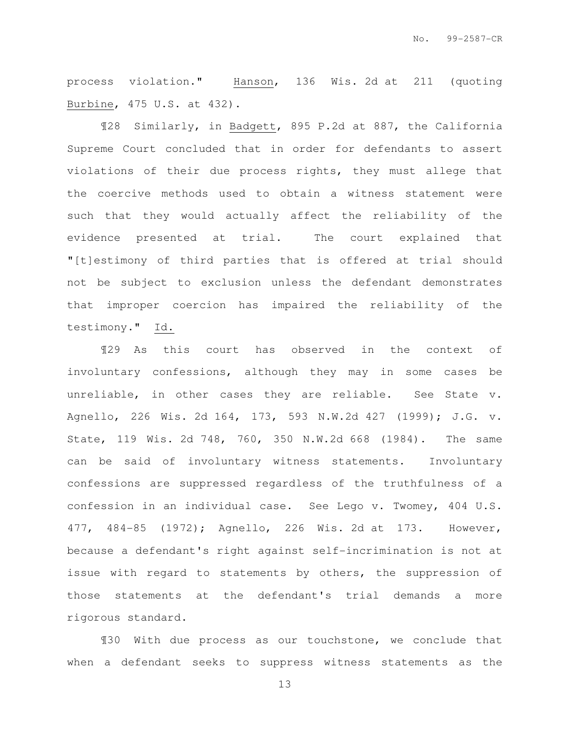process violation." Hanson, 136 Wis. 2d at 211 (quoting Burbine, 475 U.S. at 432).

¶28 Similarly, in Badgett, 895 P.2d at 887, the California Supreme Court concluded that in order for defendants to assert violations of their due process rights, they must allege that the coercive methods used to obtain a witness statement were such that they would actually affect the reliability of the evidence presented at trial. The court explained that "[t]estimony of third parties that is offered at trial should not be subject to exclusion unless the defendant demonstrates that improper coercion has impaired the reliability of the testimony." Id.

¶29 As this court has observed in the context of involuntary confessions, although they may in some cases be unreliable, in other cases they are reliable. See State v. Agnello, 226 Wis. 2d 164, 173, 593 N.W.2d 427 (1999); J.G. v. State, 119 Wis. 2d 748, 760, 350 N.W.2d 668 (1984). The same can be said of involuntary witness statements. Involuntary confessions are suppressed regardless of the truthfulness of a confession in an individual case. See Lego v. Twomey, 404 U.S. 477, 484-85 (1972); Agnello, 226 Wis. 2d at 173. However, because a defendant's right against self-incrimination is not at issue with regard to statements by others, the suppression of those statements at the defendant's trial demands a more rigorous standard.

¶30 With due process as our touchstone, we conclude that when a defendant seeks to suppress witness statements as the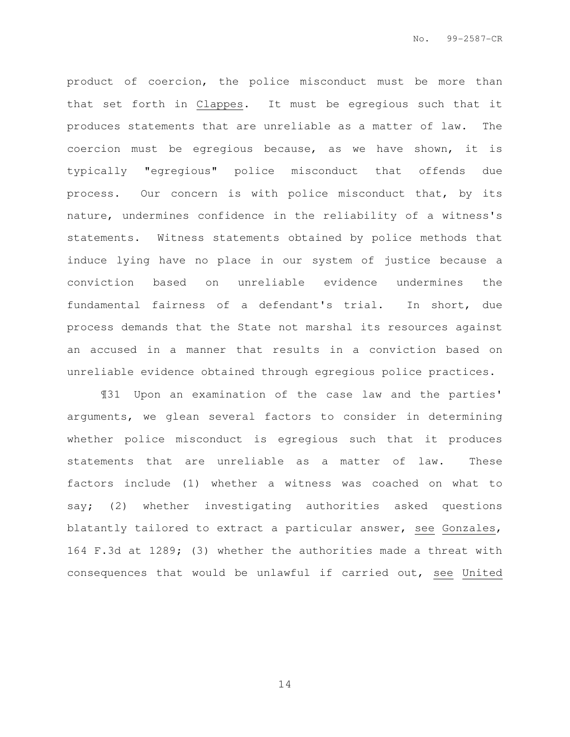product of coercion, the police misconduct must be more than that set forth in Clappes. It must be egregious such that it produces statements that are unreliable as a matter of law. The coercion must be egregious because, as we have shown, it is typically "egregious" police misconduct that offends due process. Our concern is with police misconduct that, by its nature, undermines confidence in the reliability of a witness's statements. Witness statements obtained by police methods that induce lying have no place in our system of justice because a conviction based on unreliable evidence undermines the fundamental fairness of a defendant's trial. In short, due process demands that the State not marshal its resources against an accused in a manner that results in a conviction based on unreliable evidence obtained through egregious police practices.

¶31 Upon an examination of the case law and the parties' arguments, we glean several factors to consider in determining whether police misconduct is egregious such that it produces statements that are unreliable as a matter of law. These factors include (1) whether a witness was coached on what to say; (2) whether investigating authorities asked questions blatantly tailored to extract a particular answer, see Gonzales, 164 F.3d at 1289; (3) whether the authorities made a threat with consequences that would be unlawful if carried out, see United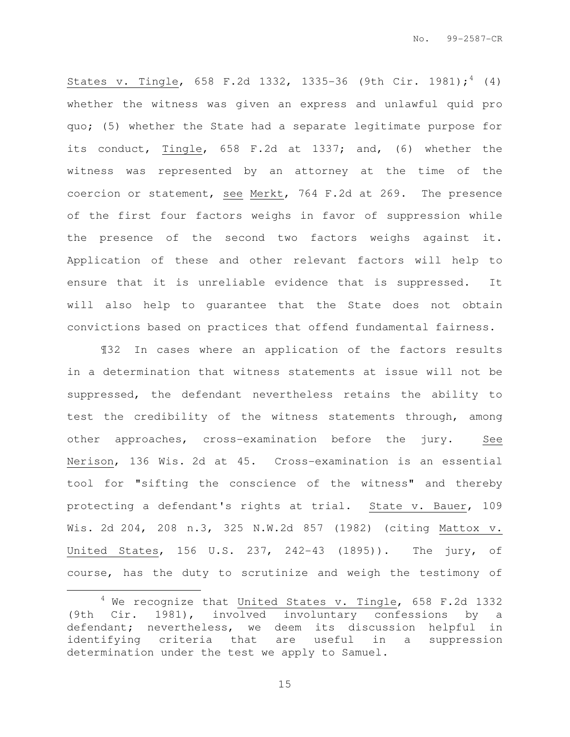States v. Tingle, 658 F.2d 1332, 1335-36 (9th Cir. 1981);<sup>4</sup> (4) whether the witness was given an express and unlawful quid pro quo; (5) whether the State had a separate legitimate purpose for its conduct, Tingle, 658 F.2d at 1337; and, (6) whether the witness was represented by an attorney at the time of the coercion or statement, see Merkt, 764 F.2d at 269. The presence of the first four factors weighs in favor of suppression while the presence of the second two factors weighs against it. Application of these and other relevant factors will help to ensure that it is unreliable evidence that is suppressed. It will also help to guarantee that the State does not obtain convictions based on practices that offend fundamental fairness.

¶32 In cases where an application of the factors results in a determination that witness statements at issue will not be suppressed, the defendant nevertheless retains the ability to test the credibility of the witness statements through, among other approaches, cross-examination before the jury. See Nerison, 136 Wis. 2d at 45. Cross-examination is an essential tool for "sifting the conscience of the witness" and thereby protecting a defendant's rights at trial. State v. Bauer, 109 Wis. 2d 204, 208 n.3, 325 N.W.2d 857 (1982) (citing Mattox v. United States, 156 U.S. 237, 242-43 (1895)). The jury, of course, has the duty to scrutinize and weigh the testimony of

l.

 $4$  We recognize that United States v. Tingle, 658 F.2d 1332 (9th Cir. 1981), involved involuntary confessions by a defendant; nevertheless, we deem its discussion helpful in identifying criteria that are useful in a suppression determination under the test we apply to Samuel.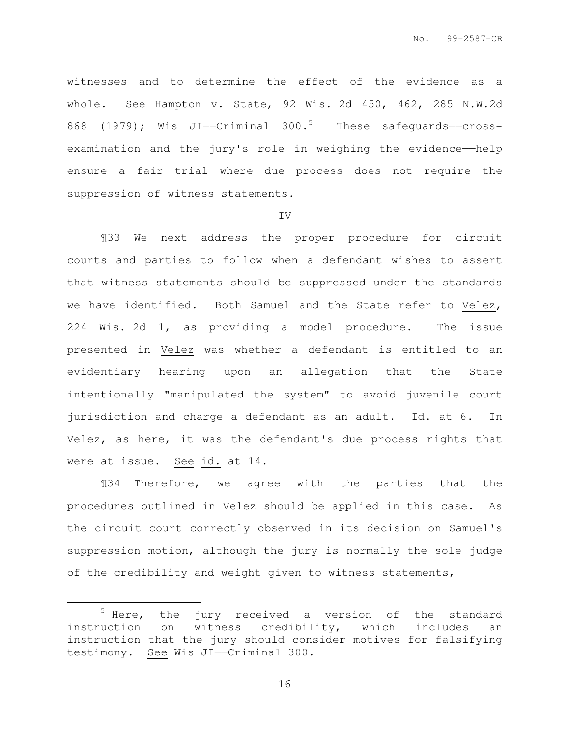witnesses and to determine the effect of the evidence as a whole. See Hampton v. State, 92 Wis. 2d 450, 462, 285 N.W.2d 868 (1979); Wis JI— $C$ riminal 300.<sup>5</sup> These safequards—crossexamination and the jury's role in weighing the evidence-help ensure a fair trial where due process does not require the suppression of witness statements.

## IV

¶33 We next address the proper procedure for circuit courts and parties to follow when a defendant wishes to assert that witness statements should be suppressed under the standards we have identified. Both Samuel and the State refer to Velez, 224 Wis. 2d 1, as providing a model procedure. The issue presented in Velez was whether a defendant is entitled to an evidentiary hearing upon an allegation that the State intentionally "manipulated the system" to avoid juvenile court jurisdiction and charge a defendant as an adult. Id. at 6. In Velez, as here, it was the defendant's due process rights that were at issue. See id. at 14.

¶34 Therefore, we agree with the parties that the procedures outlined in Velez should be applied in this case. As the circuit court correctly observed in its decision on Samuel's suppression motion, although the jury is normally the sole judge of the credibility and weight given to witness statements,

 $\overline{a}$ 

 $5$  Here, the jury received a version of the standard instruction on witness credibility, which includes an instruction that the jury should consider motives for falsifying testimony. See Wis JI——Criminal 300.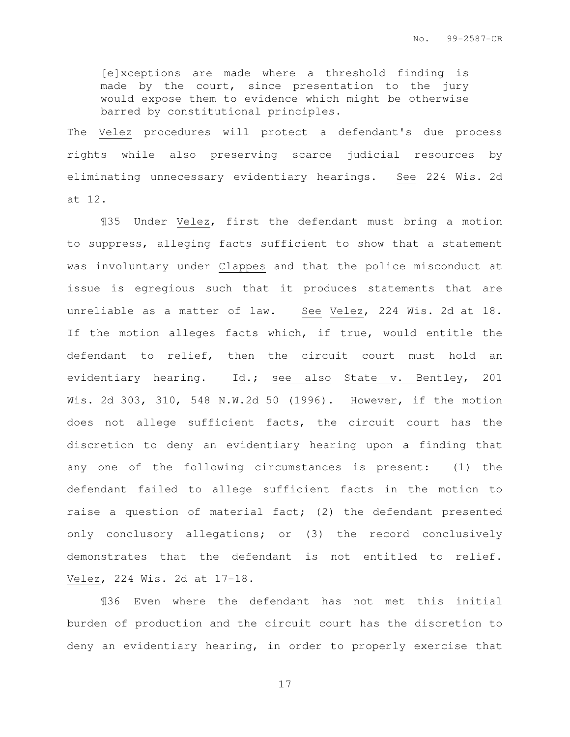[e]xceptions are made where a threshold finding is made by the court, since presentation to the jury would expose them to evidence which might be otherwise barred by constitutional principles.

The Velez procedures will protect a defendant's due process rights while also preserving scarce judicial resources by eliminating unnecessary evidentiary hearings. See 224 Wis. 2d at 12.

¶35 Under Velez, first the defendant must bring a motion to suppress, alleging facts sufficient to show that a statement was involuntary under Clappes and that the police misconduct at issue is egregious such that it produces statements that are unreliable as a matter of law. See Velez, 224 Wis. 2d at 18. If the motion alleges facts which, if true, would entitle the defendant to relief, then the circuit court must hold an evidentiary hearing. Id.; see also State v. Bentley, 201 Wis. 2d 303, 310, 548 N.W.2d 50 (1996). However, if the motion does not allege sufficient facts, the circuit court has the discretion to deny an evidentiary hearing upon a finding that any one of the following circumstances is present: (1) the defendant failed to allege sufficient facts in the motion to raise a question of material fact; (2) the defendant presented only conclusory allegations; or (3) the record conclusively demonstrates that the defendant is not entitled to relief. Velez, 224 Wis. 2d at 17-18.

¶36 Even where the defendant has not met this initial burden of production and the circuit court has the discretion to deny an evidentiary hearing, in order to properly exercise that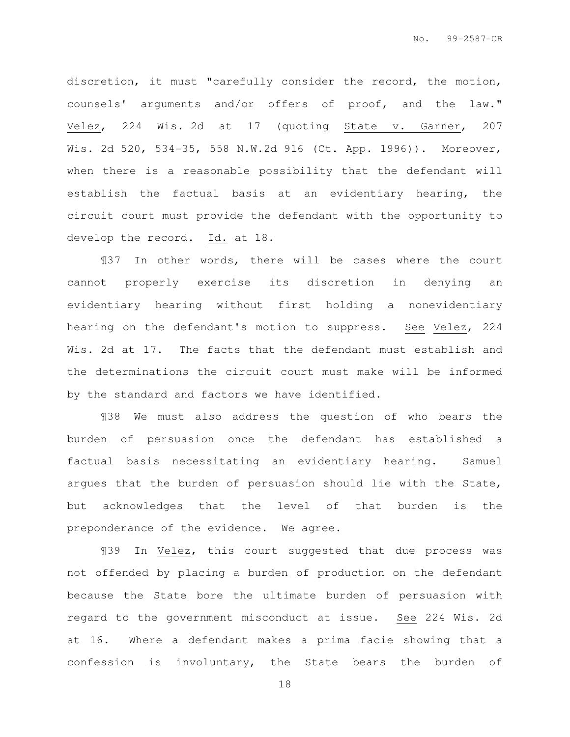discretion, it must "carefully consider the record, the motion, counsels' arguments and/or offers of proof, and the law." Velez, 224 Wis. 2d at 17 (quoting State v. Garner, 207 Wis. 2d 520, 534-35, 558 N.W.2d 916 (Ct. App. 1996)). Moreover, when there is a reasonable possibility that the defendant will establish the factual basis at an evidentiary hearing, the circuit court must provide the defendant with the opportunity to develop the record. Id. at 18.

¶37 In other words, there will be cases where the court cannot properly exercise its discretion in denying an evidentiary hearing without first holding a nonevidentiary hearing on the defendant's motion to suppress. See Velez, 224 Wis. 2d at 17. The facts that the defendant must establish and the determinations the circuit court must make will be informed by the standard and factors we have identified.

¶38 We must also address the question of who bears the burden of persuasion once the defendant has established a factual basis necessitating an evidentiary hearing. Samuel argues that the burden of persuasion should lie with the State, but acknowledges that the level of that burden is the preponderance of the evidence. We agree.

¶39 In Velez, this court suggested that due process was not offended by placing a burden of production on the defendant because the State bore the ultimate burden of persuasion with regard to the government misconduct at issue. See 224 Wis. 2d at 16. Where a defendant makes a prima facie showing that a confession is involuntary, the State bears the burden of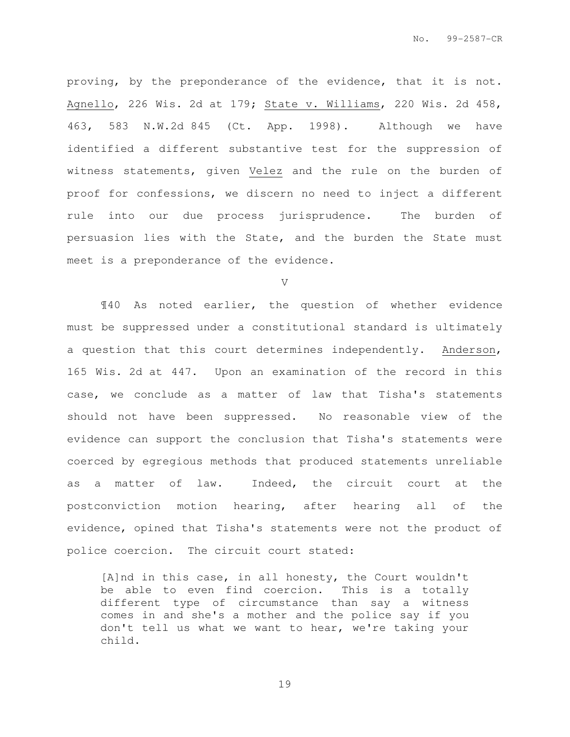proving, by the preponderance of the evidence, that it is not. Agnello, 226 Wis. 2d at 179; State v. Williams, 220 Wis. 2d 458, 463, 583 N.W.2d 845 (Ct. App. 1998). Although we have identified a different substantive test for the suppression of witness statements, given Velez and the rule on the burden of proof for confessions, we discern no need to inject a different rule into our due process jurisprudence. The burden of persuasion lies with the State, and the burden the State must meet is a preponderance of the evidence.

V

¶40 As noted earlier, the question of whether evidence must be suppressed under a constitutional standard is ultimately a question that this court determines independently. Anderson, 165 Wis. 2d at 447. Upon an examination of the record in this case, we conclude as a matter of law that Tisha's statements should not have been suppressed. No reasonable view of the evidence can support the conclusion that Tisha's statements were coerced by egregious methods that produced statements unreliable as a matter of law. Indeed, the circuit court at the postconviction motion hearing, after hearing all of the evidence, opined that Tisha's statements were not the product of police coercion. The circuit court stated:

[A]nd in this case, in all honesty, the Court wouldn't be able to even find coercion. This is a totally different type of circumstance than say a witness comes in and she's a mother and the police say if you don't tell us what we want to hear, we're taking your child.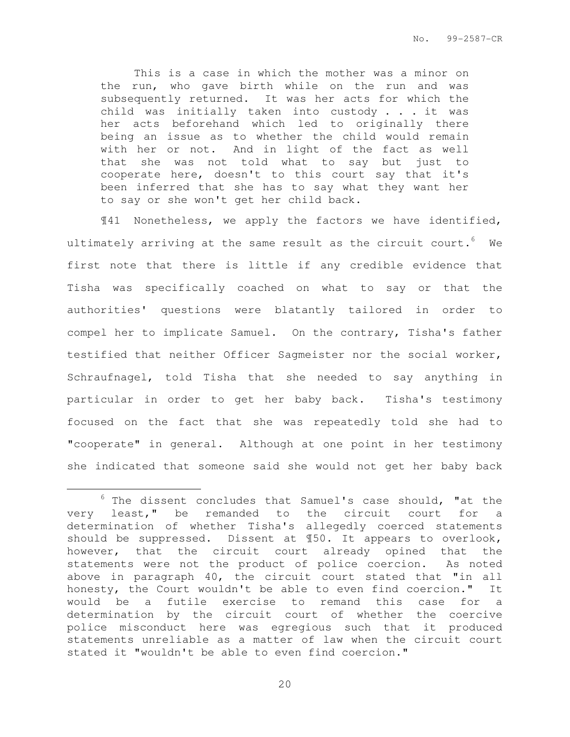This is a case in which the mother was a minor on the run, who gave birth while on the run and was subsequently returned. It was her acts for which the child was initially taken into custody . . . it was her acts beforehand which led to originally there being an issue as to whether the child would remain with her or not. And in light of the fact as well that she was not told what to say but just to cooperate here, doesn't to this court say that it's been inferred that she has to say what they want her to say or she won't get her child back.

¶41 Nonetheless, we apply the factors we have identified, ultimately arriving at the same result as the circuit court.  $6$  We first note that there is little if any credible evidence that Tisha was specifically coached on what to say or that the authorities' questions were blatantly tailored in order to compel her to implicate Samuel. On the contrary, Tisha's father testified that neither Officer Sagmeister nor the social worker, Schraufnagel, told Tisha that she needed to say anything in particular in order to get her baby back. Tisha's testimony focused on the fact that she was repeatedly told she had to "cooperate" in general. Although at one point in her testimony she indicated that someone said she would not get her baby back

l.

 $6$  The dissent concludes that Samuel's case should, "at the very least," be remanded to the circuit court for a determination of whether Tisha's allegedly coerced statements should be suppressed. Dissent at ¶50. It appears to overlook, however, that the circuit court already opined that the statements were not the product of police coercion. As noted above in paragraph 40, the circuit court stated that "in all honesty, the Court wouldn't be able to even find coercion." It would be a futile exercise to remand this case for a determination by the circuit court of whether the coercive police misconduct here was egregious such that it produced statements unreliable as a matter of law when the circuit court stated it "wouldn't be able to even find coercion."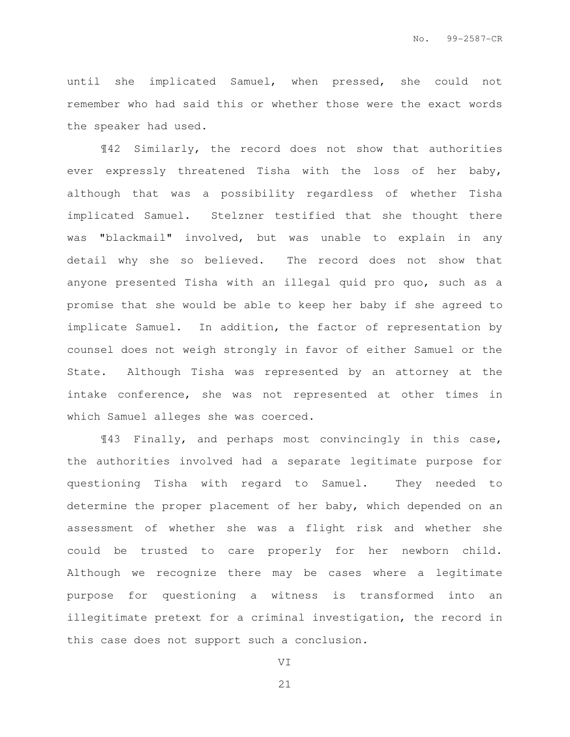until she implicated Samuel, when pressed, she could not remember who had said this or whether those were the exact words the speaker had used.

¶42 Similarly, the record does not show that authorities ever expressly threatened Tisha with the loss of her baby, although that was a possibility regardless of whether Tisha implicated Samuel. Stelzner testified that she thought there was "blackmail" involved, but was unable to explain in any detail why she so believed. The record does not show that anyone presented Tisha with an illegal quid pro quo, such as a promise that she would be able to keep her baby if she agreed to implicate Samuel. In addition, the factor of representation by counsel does not weigh strongly in favor of either Samuel or the State. Although Tisha was represented by an attorney at the intake conference, she was not represented at other times in which Samuel alleges she was coerced.

¶43 Finally, and perhaps most convincingly in this case, the authorities involved had a separate legitimate purpose for questioning Tisha with regard to Samuel. They needed to determine the proper placement of her baby, which depended on an assessment of whether she was a flight risk and whether she could be trusted to care properly for her newborn child. Although we recognize there may be cases where a legitimate purpose for questioning a witness is transformed into an illegitimate pretext for a criminal investigation, the record in this case does not support such a conclusion.

VI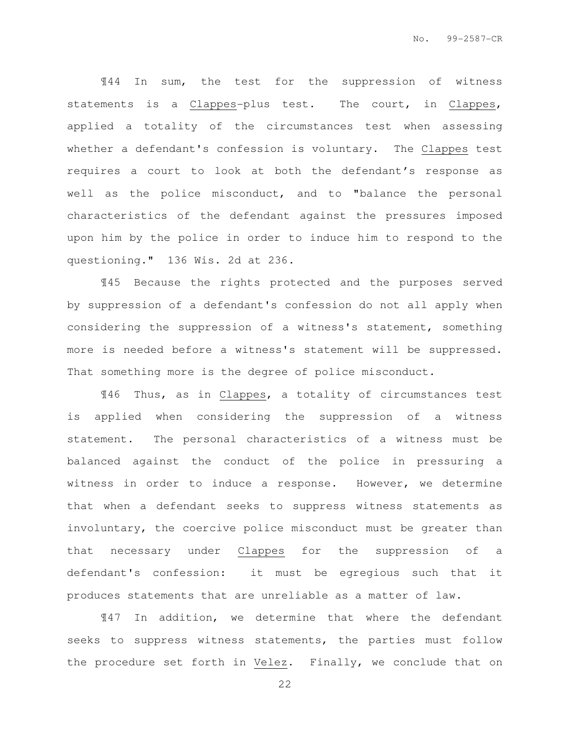¶44 In sum, the test for the suppression of witness statements is a Clappes-plus test. The court, in Clappes, applied a totality of the circumstances test when assessing whether a defendant's confession is voluntary. The Clappes test requires a court to look at both the defendant's response as well as the police misconduct, and to "balance the personal characteristics of the defendant against the pressures imposed upon him by the police in order to induce him to respond to the questioning." 136 Wis. 2d at 236.

¶45 Because the rights protected and the purposes served by suppression of a defendant's confession do not all apply when considering the suppression of a witness's statement, something more is needed before a witness's statement will be suppressed. That something more is the degree of police misconduct.

¶46 Thus, as in Clappes, a totality of circumstances test is applied when considering the suppression of a witness statement. The personal characteristics of a witness must be balanced against the conduct of the police in pressuring a witness in order to induce a response. However, we determine that when a defendant seeks to suppress witness statements as involuntary, the coercive police misconduct must be greater than that necessary under Clappes for the suppression of a defendant's confession: it must be egregious such that it produces statements that are unreliable as a matter of law.

¶47 In addition, we determine that where the defendant seeks to suppress witness statements, the parties must follow the procedure set forth in Velez. Finally, we conclude that on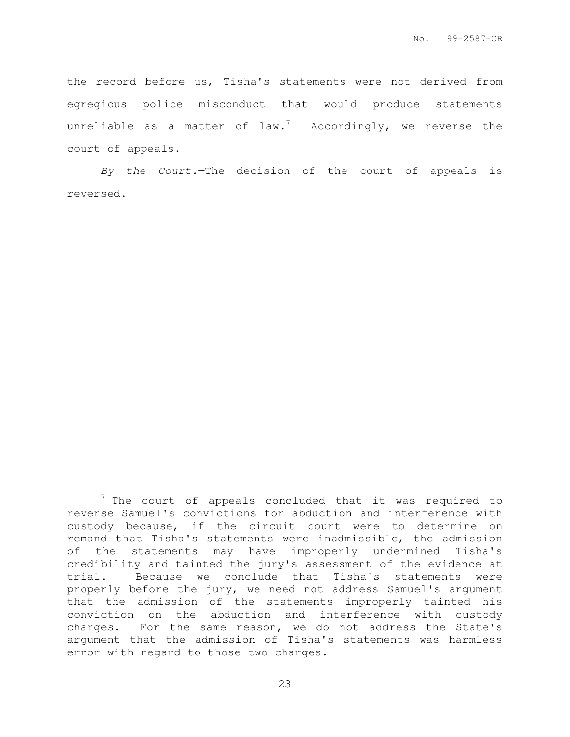the record before us, Tisha's statements were not derived from egregious police misconduct that would produce statements unreliable as a matter of law.<sup>7</sup> Accordingly, we reverse the court of appeals.

By the Court.—The decision of the court of appeals is reversed.

l.

 $7$  The court of appeals concluded that it was required to reverse Samuel's convictions for abduction and interference with custody because, if the circuit court were to determine on remand that Tisha's statements were inadmissible, the admission of the statements may have improperly undermined Tisha's credibility and tainted the jury's assessment of the evidence at trial. Because we conclude that Tisha's statements were properly before the jury, we need not address Samuel's argument that the admission of the statements improperly tainted his conviction on the abduction and interference with custody charges. For the same reason, we do not address the State's argument that the admission of Tisha's statements was harmless error with regard to those two charges.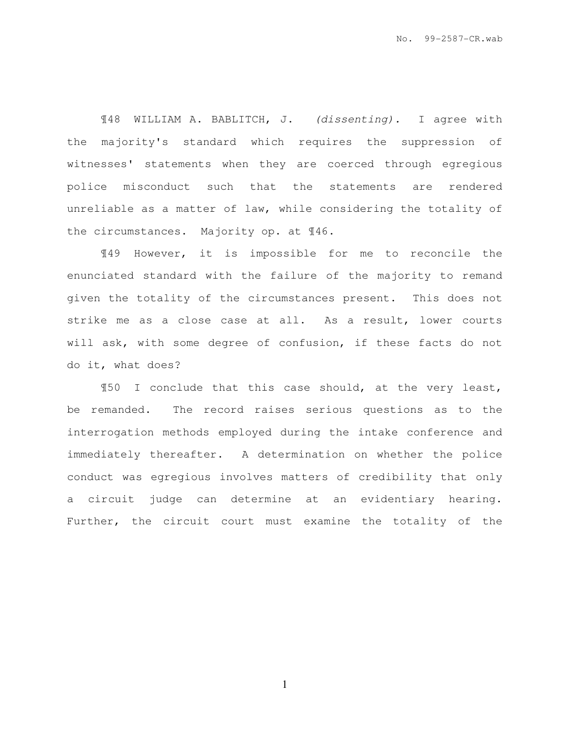¶48 WILLIAM A. BABLITCH, J. (dissenting). I agree with the majority's standard which requires the suppression of witnesses' statements when they are coerced through egregious police misconduct such that the statements are rendered unreliable as a matter of law, while considering the totality of the circumstances. Majority op. at ¶46.

¶49 However, it is impossible for me to reconcile the enunciated standard with the failure of the majority to remand given the totality of the circumstances present. This does not strike me as a close case at all. As a result, lower courts will ask, with some degree of confusion, if these facts do not do it, what does?

¶50 I conclude that this case should, at the very least, be remanded. The record raises serious questions as to the interrogation methods employed during the intake conference and immediately thereafter. A determination on whether the police conduct was egregious involves matters of credibility that only a circuit judge can determine at an evidentiary hearing. Further, the circuit court must examine the totality of the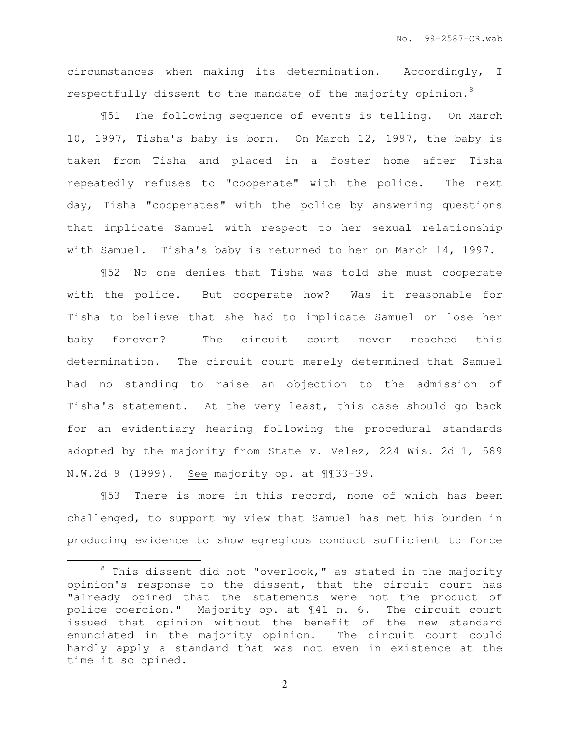circumstances when making its determination. Accordingly, I respectfully dissent to the mandate of the majority opinion.<sup>8</sup>

¶51 The following sequence of events is telling. On March 10, 1997, Tisha's baby is born. On March 12, 1997, the baby is taken from Tisha and placed in a foster home after Tisha repeatedly refuses to "cooperate" with the police. The next day, Tisha "cooperates" with the police by answering questions that implicate Samuel with respect to her sexual relationship with Samuel. Tisha's baby is returned to her on March 14, 1997.

¶52 No one denies that Tisha was told she must cooperate with the police. But cooperate how? Was it reasonable for Tisha to believe that she had to implicate Samuel or lose her baby forever? The circuit court never reached this determination. The circuit court merely determined that Samuel had no standing to raise an objection to the admission of Tisha's statement. At the very least, this case should go back for an evidentiary hearing following the procedural standards adopted by the majority from State v. Velez, 224 Wis. 2d 1, 589 N.W.2d 9 (1999). See majority op. at ¶¶33-39.

¶53 There is more in this record, none of which has been challenged, to support my view that Samuel has met his burden in producing evidence to show egregious conduct sufficient to force

l.

 $8$  This dissent did not "overlook," as stated in the majority opinion's response to the dissent, that the circuit court has "already opined that the statements were not the product of police coercion." Majority op. at ¶41 n. 6. The circuit court issued that opinion without the benefit of the new standard enunciated in the majority opinion. The circuit court could hardly apply a standard that was not even in existence at the time it so opined.